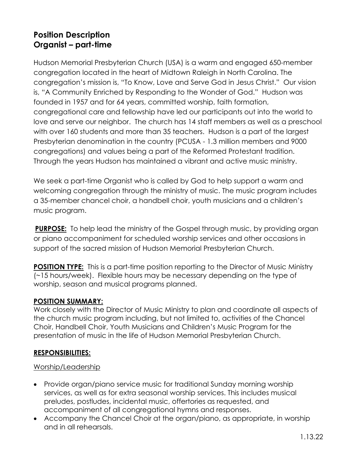# **Position Description Organist – part-time**

Hudson Memorial Presbyterian Church (USA) is a warm and engaged 650-member congregation located in the heart of Midtown Raleigh in North Carolina. The congregation's mission is, "To Know, Love and Serve God in Jesus Christ." Our vision is, "A Community Enriched by Responding to the Wonder of God." Hudson was founded in 1957 and for 64 years, committed worship, faith formation, congregational care and fellowship have led our participants out into the world to love and serve our neighbor. The church has 14 staff members as well as a preschool with over 160 students and more than 35 teachers. Hudson is a part of the largest Presbyterian denomination in the country (PCUSA - 1.3 million members and 9000 congregations) and values being a part of the Reformed Protestant tradition. Through the years Hudson has maintained a vibrant and active music ministry.

We seek a part-time Organist who is called by God to help support a warm and welcoming congregation through the ministry of music. The music program includes a 35-member chancel choir, a handbell choir, youth musicians and a children's music program.

**PURPOSE:** To help lead the ministry of the Gospel through music, by providing organ or piano accompaniment for scheduled worship services and other occasions in support of the sacred mission of Hudson Memorial Presbyterian Church.

**POSITION TYPE:** This is a part-time position reporting to the Director of Music Ministry (~15 hours/week). Flexible hours may be necessary depending on the type of worship, season and musical programs planned.

## **POSITION SUMMARY:**

Work closely with the Director of Music Ministry to plan and coordinate all aspects of the church music program including, but not limited to, activities of the Chancel Choir, Handbell Choir, Youth Musicians and Children's Music Program for the presentation of music in the life of Hudson Memorial Presbyterian Church.

## **RESPONSIBILITIES:**

#### Worship/Leadership

- Provide organ/piano service music for traditional Sunday morning worship services, as well as for extra seasonal worship services. This includes musical preludes, postludes, incidental music, offertories as requested, and accompaniment of all congregational hymns and responses.
- Accompany the Chancel Choir at the organ/piano, as appropriate, in worship and in all rehearsals.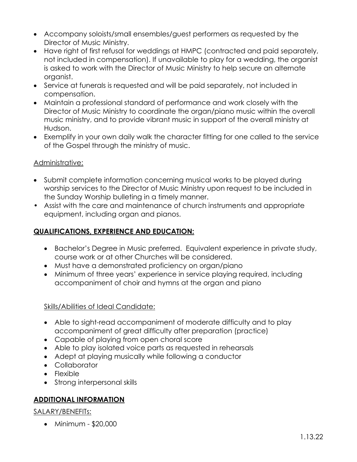- Accompany soloists/small ensembles/guest performers as requested by the Director of Music Ministry.
- Have right of first refusal for weddings at HMPC (contracted and paid separately, not included in compensation). If unavailable to play for a wedding, the organist is asked to work with the Director of Music Ministry to help secure an alternate organist.
- Service at funerals is requested and will be paid separately, not included in compensation.
- Maintain a professional standard of performance and work closely with the Director of Music Ministry to coordinate the organ/piano music within the overall music ministry, and to provide vibrant music in support of the overall ministry at Hudson.
- Exemplify in your own daily walk the character fitting for one called to the service of the Gospel through the ministry of music.

## Administrative:

- Submit complete information concerning musical works to be played during worship services to the Director of Music Ministry upon request to be included in the Sunday Worship bulleting in a timely manner.
- Assist with the care and maintenance of church instruments and appropriate equipment, including organ and pianos.

## **QUALIFICATIONS, EXPERIENCE AND EDUCATION:**

- Bachelor's Degree in Music preferred. Equivalent experience in private study, course work or at other Churches will be considered.
- Must have a demonstrated proficiency on organ/piano
- Minimum of three years' experience in service playing required, including accompaniment of choir and hymns at the organ and piano

#### Skills/Abilities of Ideal Candidate:

- Able to sight-read accompaniment of moderate difficulty and to play accompaniment of great difficulty after preparation (practice)
- Capable of playing from open choral score
- Able to play isolated voice parts as requested in rehearsals
- Adept at playing musically while following a conductor
- Collaborator
- Flexible
- Strong interpersonal skills

## **ADDITIONAL INFORMATION**

#### SALARY/BENEFITs:

• Minimum - \$20,000